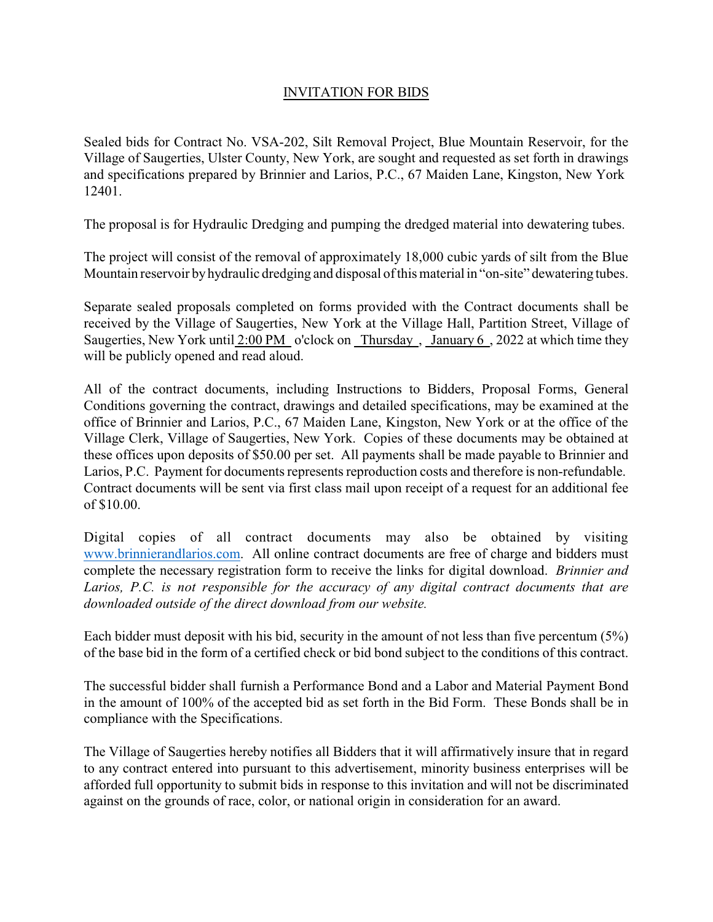## INVITATION FOR BIDS

Sealed bids for Contract No. VSA-202, Silt Removal Project, Blue Mountain Reservoir, for the Village of Saugerties, Ulster County, New York, are sought and requested as set forth in drawings and specifications prepared by Brinnier and Larios, P.C., 67 Maiden Lane, Kingston, New York 12401.

The proposal is for Hydraulic Dredging and pumping the dredged material into dewatering tubes.

The project will consist of the removal of approximately 18,000 cubic yards of silt from the Blue Mountain reservoir byhydraulic dredging and disposal of this material in "on-site" dewatering tubes.

Separate sealed proposals completed on forms provided with the Contract documents shall be received by the Village of Saugerties, New York at the Village Hall, Partition Street, Village of Saugerties, New York until 2:00 PM o'clock on Thursday , January 6 , 2022 at which time they will be publicly opened and read aloud.

All of the contract documents, including Instructions to Bidders, Proposal Forms, General Conditions governing the contract, drawings and detailed specifications, may be examined at the office of Brinnier and Larios, P.C., 67 Maiden Lane, Kingston, New York or at the office of the Village Clerk, Village of Saugerties, New York. Copies of these documents may be obtained at these offices upon deposits of \$50.00 per set. All payments shall be made payable to Brinnier and Larios, P.C. Payment for documents represents reproduction costs and therefore is non-refundable. Contract documents will be sent via first class mail upon receipt of a request for an additional fee of \$10.00.

Digital copies of all contract documents may also be obtained by visiting www.brinnierandlarios.com. All online contract documents are free of charge and bidders must complete the necessary registration form to receive the links for digital download. *Brinnier and Larios, P.C. is not responsible for the accuracy of any digital contract documents that are downloaded outside of the direct download from our website.*

Each bidder must deposit with his bid, security in the amount of not less than five percentum (5%) of the base bid in the form of a certified check or bid bond subject to the conditions of this contract.

The successful bidder shall furnish a Performance Bond and a Labor and Material Payment Bond in the amount of 100% of the accepted bid as set forth in the Bid Form. These Bonds shall be in compliance with the Specifications.

The Village of Saugerties hereby notifies all Bidders that it will affirmatively insure that in regard to any contract entered into pursuant to this advertisement, minority business enterprises will be afforded full opportunity to submit bids in response to this invitation and will not be discriminated against on the grounds of race, color, or national origin in consideration for an award.